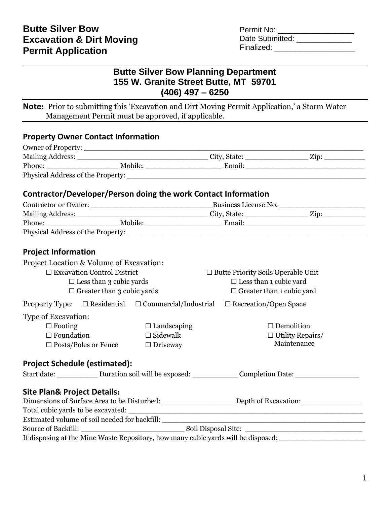Permit No: \_\_\_\_\_\_\_\_\_\_\_\_\_\_\_\_\_\_ Date Submitted: \_\_\_\_\_\_\_\_\_\_\_\_\_\_ Finalized: \_\_\_\_\_\_\_\_\_\_\_\_\_\_\_\_\_\_\_

# **Butte Silver Bow Planning Department 155 W. Granite Street Butte, MT 59701 (406) 497 – 6250**

**Note:** Prior to submitting this 'Excavation and Dirt Moving Permit Application,' a Storm Water Management Permit must be approved, if applicable.

### **Property Owner Contact Information**

| Contractor/Developer/Person doing the work Contact Information                                                                                                                                                                 |                    |                                                                                                               |                                                                                           |  |  |  |  |  |  |  |
|--------------------------------------------------------------------------------------------------------------------------------------------------------------------------------------------------------------------------------|--------------------|---------------------------------------------------------------------------------------------------------------|-------------------------------------------------------------------------------------------|--|--|--|--|--|--|--|
|                                                                                                                                                                                                                                |                    |                                                                                                               |                                                                                           |  |  |  |  |  |  |  |
|                                                                                                                                                                                                                                |                    |                                                                                                               |                                                                                           |  |  |  |  |  |  |  |
|                                                                                                                                                                                                                                |                    |                                                                                                               |                                                                                           |  |  |  |  |  |  |  |
| Physical Address of the Property: 2008 and 2008 and 2008 and 2008 and 2008 and 2008 and 2008 and 2008 and 2008 and 2008 and 2008 and 2008 and 2008 and 2008 and 2008 and 2008 and 2008 and 2008 and 2008 and 2008 and 2008 and |                    |                                                                                                               |                                                                                           |  |  |  |  |  |  |  |
| <b>Project Information</b>                                                                                                                                                                                                     |                    |                                                                                                               |                                                                                           |  |  |  |  |  |  |  |
| Project Location & Volume of Excavation:                                                                                                                                                                                       |                    |                                                                                                               |                                                                                           |  |  |  |  |  |  |  |
| $\Box$ Excavation Control District                                                                                                                                                                                             |                    | $\Box$ Butte Priority Soils Operable Unit                                                                     |                                                                                           |  |  |  |  |  |  |  |
| $\square$ Less than 3 cubic yards                                                                                                                                                                                              |                    | $\square$ Less than 1 cubic yard                                                                              |                                                                                           |  |  |  |  |  |  |  |
| $\Box$ Greater than 3 cubic yards                                                                                                                                                                                              |                    | $\Box$ Greater than 1 cubic yard                                                                              |                                                                                           |  |  |  |  |  |  |  |
|                                                                                                                                                                                                                                |                    | <b>Property Type:</b> $\Box$ Residential $\Box$ Commercial/Industrial $\Box$ Recreation/Open Space            |                                                                                           |  |  |  |  |  |  |  |
| Type of Excavation:                                                                                                                                                                                                            |                    |                                                                                                               |                                                                                           |  |  |  |  |  |  |  |
| $\Box$ Footing                                                                                                                                                                                                                 | $\Box$ Landscaping |                                                                                                               | $\Box$ Demolition                                                                         |  |  |  |  |  |  |  |
| $\Box$ Foundation                                                                                                                                                                                                              | $\Box$ Sidewalk    |                                                                                                               | $\Box$ Utility Repairs/                                                                   |  |  |  |  |  |  |  |
| $\square$ Posts/Poles or Fence                                                                                                                                                                                                 | $\Box$ Driveway    |                                                                                                               | Maintenance                                                                               |  |  |  |  |  |  |  |
|                                                                                                                                                                                                                                |                    |                                                                                                               |                                                                                           |  |  |  |  |  |  |  |
| <b>Project Schedule (estimated):</b>                                                                                                                                                                                           |                    |                                                                                                               |                                                                                           |  |  |  |  |  |  |  |
|                                                                                                                                                                                                                                |                    | Start date: _____________ Duration soil will be exposed: _____________ Completion Date: ____________          |                                                                                           |  |  |  |  |  |  |  |
| <b>Site Plan&amp; Project Details:</b>                                                                                                                                                                                         |                    |                                                                                                               |                                                                                           |  |  |  |  |  |  |  |
|                                                                                                                                                                                                                                |                    | Dimensions of Surface Area to be Disturbed: ________________________ Depth of Excavation: ___________________ |                                                                                           |  |  |  |  |  |  |  |
|                                                                                                                                                                                                                                |                    |                                                                                                               |                                                                                           |  |  |  |  |  |  |  |
| Estimated volume of soil needed for backfill: __________                                                                                                                                                                       |                    |                                                                                                               | the control of the control of the control of the control of the control of the control of |  |  |  |  |  |  |  |
|                                                                                                                                                                                                                                |                    |                                                                                                               |                                                                                           |  |  |  |  |  |  |  |
| If disposing at the Mine Waste Repository, how many cubic yards will be disposed: _________________                                                                                                                            |                    |                                                                                                               |                                                                                           |  |  |  |  |  |  |  |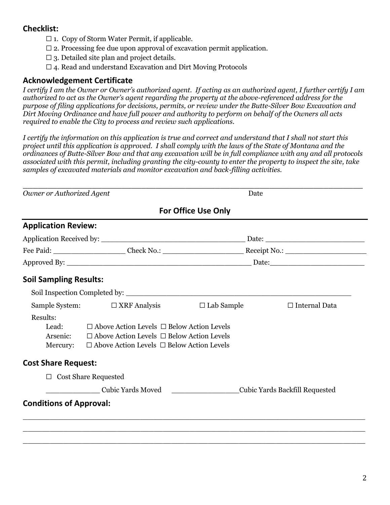## **Checklist:**

- $\Box$  1. Copy of Storm Water Permit, if applicable.
- $\Box$  2. Processing fee due upon approval of excavation permit application.
- $\square$  3. Detailed site plan and project details.
- $\Box$  4. Read and understand Excavation and Dirt Moving Protocols

#### **Acknowledgement Certificate**

*I certify I am the Owner or Owner's authorized agent. If acting as an authorized agent, I further certify I am authorized to act as the Owner's agent regarding the property at the above-referenced address for the purpose of filing applications for decisions, permits, or review under the Butte-Silver Bow Excavation and Dirt Moving Ordinance and have full power and authority to perform on behalf of the Owners all acts required to enable the City to process and review such applications.* 

*I certify the information on this application is true and correct and understand that I shall not start this project until this application is approved. I shall comply with the laws of the State of Montana and the ordinances of Butte-Silver Bow and that any excavation will be in full compliance with any and all protocols associated with this permit, including granting the city-county to enter the property to inspect the site, take samples of excavated materials and monitor excavation and back-filling activities.*

| Owner or Authorized Agent                 |                                                                                                                                                                         | Date                       |                                   |  |  |  |  |  |  |  |
|-------------------------------------------|-------------------------------------------------------------------------------------------------------------------------------------------------------------------------|----------------------------|-----------------------------------|--|--|--|--|--|--|--|
|                                           |                                                                                                                                                                         | <b>For Office Use Only</b> |                                   |  |  |  |  |  |  |  |
| <b>Application Review:</b>                |                                                                                                                                                                         |                            |                                   |  |  |  |  |  |  |  |
|                                           |                                                                                                                                                                         |                            | $\boxed{\text{Date:}\_\text{max}$ |  |  |  |  |  |  |  |
|                                           |                                                                                                                                                                         |                            |                                   |  |  |  |  |  |  |  |
|                                           |                                                                                                                                                                         |                            |                                   |  |  |  |  |  |  |  |
| <b>Soil Sampling Results:</b>             |                                                                                                                                                                         |                            |                                   |  |  |  |  |  |  |  |
|                                           |                                                                                                                                                                         |                            |                                   |  |  |  |  |  |  |  |
|                                           | Sample System: $\Box$ XRF Analysis                                                                                                                                      | $\Box$ Lab Sample          | $\Box$ Internal Data              |  |  |  |  |  |  |  |
| Results:<br>Lead:<br>Arsenic:<br>Mercury: | $\Box$ Above Action Levels $\Box$ Below Action Levels<br>$\Box$ Above Action Levels $\Box$ Below Action Levels<br>$\Box$ Above Action Levels $\Box$ Below Action Levels |                            |                                   |  |  |  |  |  |  |  |
| <b>Cost Share Request:</b>                |                                                                                                                                                                         |                            |                                   |  |  |  |  |  |  |  |
|                                           | $\Box$ Cost Share Requested                                                                                                                                             |                            |                                   |  |  |  |  |  |  |  |
|                                           | Cubic Yards Moved                                                                                                                                                       |                            | Cubic Yards Backfill Requested    |  |  |  |  |  |  |  |
| <b>Conditions of Approval:</b>            |                                                                                                                                                                         |                            |                                   |  |  |  |  |  |  |  |

\_\_\_\_\_\_\_\_\_\_\_\_\_\_\_\_\_\_\_\_\_\_\_\_\_\_\_\_\_\_\_\_\_\_\_\_\_\_\_\_\_\_\_\_\_\_\_\_\_\_\_\_\_\_\_\_\_\_\_\_\_\_\_\_\_\_\_\_\_\_\_\_\_\_\_\_